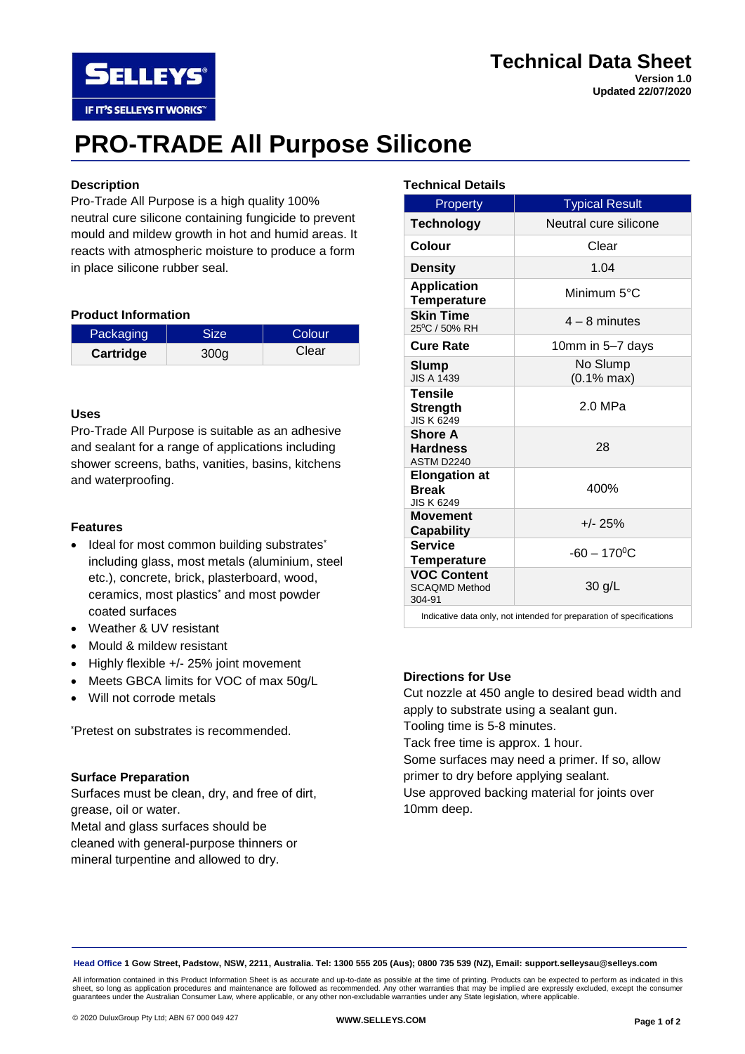# **Technical Data Sheet**

**Version 1.0 Updated 22/07/2020**

# **PRO-TRADE All Purpose Silicone**

# **Description**

**SELLEYS** 

IF IT'S SELLEYS IT WORKS"

Pro-Trade All Purpose is a high quality 100% neutral cure silicone containing fungicide to prevent mould and mildew growth in hot and humid areas. It reacts with atmospheric moisture to produce a form in place silicone rubber seal.

#### **Product Information**

| Packaging | <b>Size</b>      | Colour |
|-----------|------------------|--------|
| Cartridge | 300 <sub>g</sub> | Clear  |

#### **Uses**

Pro-Trade All Purpose is suitable as an adhesive and sealant for a range of applications including shower screens, baths, vanities, basins, kitchens and waterproofing.

### **Features**

- Ideal for most common building substrates<sup>\*</sup> including glass, most metals (aluminium, steel etc.), concrete, brick, plasterboard, wood, ceramics, most plastics\* and most powder coated surfaces
- Weather & UV resistant
- Mould & mildew resistant
- Highly flexible +/- 25% joint movement
- Meets GBCA limits for VOC of max 50g/L
- Will not corrode metals

\*Pretest on substrates is recommended.

#### **Surface Preparation**

Surfaces must be clean, dry, and free of dirt, grease, oil or water. Metal and glass surfaces should be

cleaned with general-purpose thinners or mineral turpentine and allowed to dry.

#### **Technical Details**

| Property                                                             | <b>Typical Result</b>             |  |
|----------------------------------------------------------------------|-----------------------------------|--|
| <b>Technology</b>                                                    | Neutral cure silicone             |  |
| Colour                                                               | Clear                             |  |
| <b>Density</b>                                                       | 1.04                              |  |
| <b>Application</b><br><b>Temperature</b>                             | Minimum 5°C                       |  |
| <b>Skin Time</b><br>25°C / 50% RH                                    | $4 - 8$ minutes                   |  |
| <b>Cure Rate</b>                                                     | 10mm in 5–7 days                  |  |
| Slump<br><b>JIS A 1439</b>                                           | No Slump<br>$(0.1\% \text{ max})$ |  |
| <b>Tensile</b><br><b>Strength</b><br><b>JIS K 6249</b>               | $2.0$ MPa                         |  |
| <b>Shore A</b><br><b>Hardness</b><br>ASTM D2240                      | 28                                |  |
| <b>Elongation at</b><br><b>Break</b><br><b>JIS K 6249</b>            | 400%                              |  |
| Movement<br><b>Capability</b>                                        | $+/- 25%$                         |  |
| <b>Service</b><br><b>Temperature</b>                                 | $-60 - 170$ <sup>o</sup> C        |  |
| <b>VOC Content</b><br><b>SCAQMD Method</b><br>304-91                 | 30 g/L                            |  |
| Indicative data only, not intended for preparation of specifications |                                   |  |

# **Directions for Use**

Cut nozzle at 450 angle to desired bead width and apply to substrate using a sealant gun. Tooling time is 5-8 minutes. Tack free time is approx. 1 hour. Some surfaces may need a primer. If so, allow

primer to dry before applying sealant. Use approved backing material for joints over

10mm deep.

**Head Office 1 Gow Street, Padstow, NSW, 2211, Australia. Tel: 1300 555 205 (Aus); 0800 735 539 (NZ), Email: support.selleysau@selleys.com**

All information contained in this Product Information Sheet is as accurate and up-to-date as possible at the time of printing. Products can be expected to perform as indicated in this<br>sheet, so long as application procedur